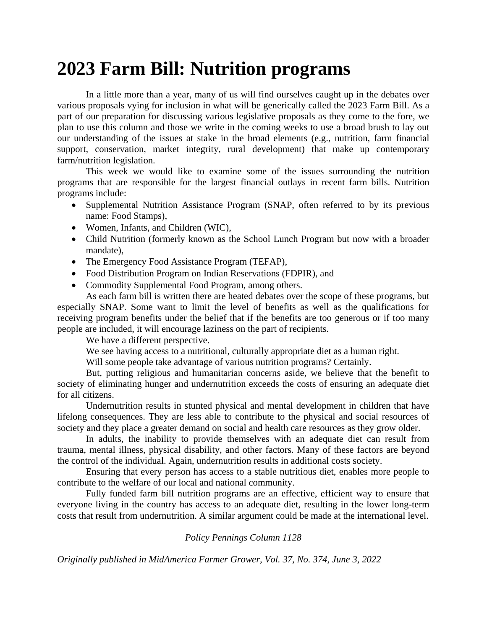## **2023 Farm Bill: Nutrition programs**

In a little more than a year, many of us will find ourselves caught up in the debates over various proposals vying for inclusion in what will be generically called the 2023 Farm Bill. As a part of our preparation for discussing various legislative proposals as they come to the fore, we plan to use this column and those we write in the coming weeks to use a broad brush to lay out our understanding of the issues at stake in the broad elements (e.g., nutrition, farm financial support, conservation, market integrity, rural development) that make up contemporary farm/nutrition legislation.

This week we would like to examine some of the issues surrounding the nutrition programs that are responsible for the largest financial outlays in recent farm bills. Nutrition programs include:

- Supplemental Nutrition Assistance Program (SNAP, often referred to by its previous name: Food Stamps),
- Women, Infants, and Children (WIC),
- Child Nutrition (formerly known as the School Lunch Program but now with a broader mandate),
- The Emergency Food Assistance Program (TEFAP),
- Food Distribution Program on Indian Reservations (FDPIR), and
- Commodity Supplemental Food Program, among others.

As each farm bill is written there are heated debates over the scope of these programs, but especially SNAP. Some want to limit the level of benefits as well as the qualifications for receiving program benefits under the belief that if the benefits are too generous or if too many people are included, it will encourage laziness on the part of recipients.

We have a different perspective.

We see having access to a nutritional, culturally appropriate diet as a human right.

Will some people take advantage of various nutrition programs? Certainly.

But, putting religious and humanitarian concerns aside, we believe that the benefit to society of eliminating hunger and undernutrition exceeds the costs of ensuring an adequate diet for all citizens.

Undernutrition results in stunted physical and mental development in children that have lifelong consequences. They are less able to contribute to the physical and social resources of society and they place a greater demand on social and health care resources as they grow older.

In adults, the inability to provide themselves with an adequate diet can result from trauma, mental illness, physical disability, and other factors. Many of these factors are beyond the control of the individual. Again, undernutrition results in additional costs society.

Ensuring that every person has access to a stable nutritious diet, enables more people to contribute to the welfare of our local and national community.

Fully funded farm bill nutrition programs are an effective, efficient way to ensure that everyone living in the country has access to an adequate diet, resulting in the lower long-term costs that result from undernutrition. A similar argument could be made at the international level.

*Policy Pennings Column 1128*

*Originally published in MidAmerica Farmer Grower, Vol. 37, No. 374, June 3, 2022*